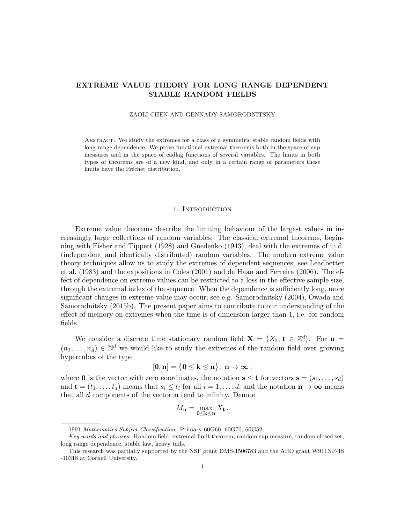# EXTREME VALUE THEORY FOR LONG RANGE DEPENDENT STABLE RANDOM FIELDS

#### ZAOLI CHEN AND GENNADY SAMORODNITSKY

Abstract. We study the extremes for a class of a symmetric stable random fields with long range dependence. We prove functional extremal theorems both in the space of sup measures and in the space of cadlag functions of several variables. The limits in both types of theorems are of a new kind, and only in a certain range of parameters these limits have the Fréchet distribution.

### 1. INTRODUCTION

Extreme value theorems describe the limiting behaviour of the largest values in increasingly large collections of random variables. The classical extremal theorems, beginning with Fisher and Tippett (1928) and Gnedenko (1943), deal with the extremes of i.i.d. (independent and identically distributed) random variables. The modern extreme value theory techniques allow us to study the extremes of dependent sequences; see Leadbetter et al. (1983) and the expositions in Coles (2001) and de Haan and Ferreira (2006). The effect of dependence on extreme values can be restricted to a loss in the effective sample size, through the extremal index of the sequence. When the dependence is sufficiently long, more significant changes in extreme value may occur; see e.g. Samorodnitsky (2004), Owada and Samorodnitsky (2015b). The present paper aims to contribute to our understanding of the effect of memory on extremes when the time is of dimension larger than 1, i.e. for random fields.

We consider a discrete time stationary random field  $\mathbf{X} = (X_t, t \in \mathbb{Z}^d)$ . For  $\mathbf{n} =$  $(n_1, \ldots, n_d) \in \mathbb{N}^d$  we would like to study the extremes of the random field over growing hypercubes of the type

$$
[0,n]=\big\{0\leq k\leq n\big\},\ n\to\infty\,,
$$

where **0** is the vector with zero coordinates, the notation  $\mathbf{s} \leq \mathbf{t}$  for vectors  $\mathbf{s} = (s_1, \ldots, s_d)$ and  $\mathbf{t} = (t_1, \ldots, t_d)$  means that  $s_i \leq t_i$  for all  $i = 1, \ldots, d$ , and the notation  $\mathbf{n} \to \infty$  means that all  $d$  components of the vector  $\bf{n}$  tend to infinity. Denote

$$
M_{\mathbf{n}} = \max_{\mathbf{0} \leq \mathbf{k} \leq \mathbf{n}} X_{\mathbf{t}}.
$$

<sup>1991</sup> Mathematics Subject Classification. Primary 60G60, 60G70, 60G52.

Key words and phrases. Random field, extremal limit theorem, random sup measure, random closed set, long range dependence, stable law, heavy tails.

This research was partially supported by the NSF grant DMS-1506783 and the ARO grant W911NF-18 -10318 at Cornell University.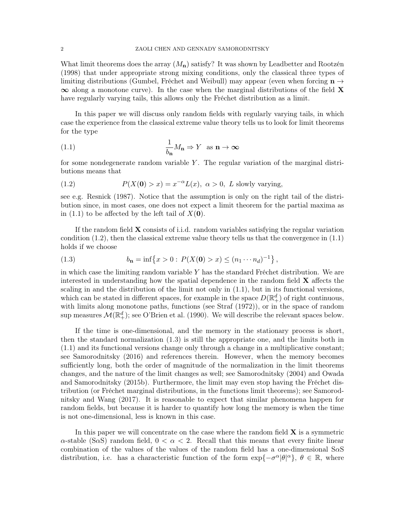What limit theorems does the array  $(M_n)$  satisfy? It was shown by Leadbetter and Rootzén (1998) that under appropriate strong mixing conditions, only the classical three types of limiting distributions (Gumbel, Fréchet and Weibull) may appear (even when forcing  $\mathbf{n} \rightarrow$  $\infty$  along a monotone curve). In the case when the marginal distributions of the field **X** have regularly varying tails, this allows only the Fréchet distribution as a limit.

In this paper we will discuss only random fields with regularly varying tails, in which case the experience from the classical extreme value theory tells us to look for limit theorems for the type

(1.1) 
$$
\frac{1}{b_{\mathbf{n}}}M_{\mathbf{n}} \Rightarrow Y \text{ as } \mathbf{n} \to \infty
$$

for some nondegenerate random variable  $Y$ . The regular variation of the marginal distributions means that

(1.2) 
$$
P(X(0) > x) = x^{-\alpha} L(x), \ \alpha > 0, \ L \text{ slowly varying},
$$

see e.g. Resnick (1987). Notice that the assumption is only on the right tail of the distribution since, in most cases, one does not expect a limit theorem for the partial maxima as in (1.1) to be affected by the left tail of  $X(\mathbf{0})$ .

If the random field  $\bf{X}$  consists of i.i.d. random variables satisfying the regular variation condition  $(1.2)$ , then the classical extreme value theory tells us that the convergence in  $(1.1)$ holds if we choose

(1.3) 
$$
b_{\mathbf{n}} = \inf \{ x > 0 : P(X(\mathbf{0}) > x) \le (n_1 \cdots n_d)^{-1} \},
$$

in which case the limiting random variable  $Y$  has the standard Fréchet distribution. We are interested in understanding how the spatial dependence in the random field  $\bf{X}$  affects the scaling in and the distribution of the limit not only in (1.1), but in its functional versions, which can be stated in different spaces, for example in the space  $D(\mathbb{R}^d_+)$  of right continuous, with limits along monotone paths, functions (see Straf  $(1972)$ ), or in the space of random sup measures  $\mathcal{M}(\mathbb{R}^d_+)$ ; see O'Brien et al. (1990). We will describe the relevant spaces below.

If the time is one-dimensional, and the memory in the stationary process is short, then the standard normalization (1.3) is still the appropriate one, and the limits both in (1.1) and its functional versions change only through a change in a multiplicative constant; see Samorodnitsky (2016) and references therein. However, when the memory becomes sufficiently long, both the order of magnitude of the normalization in the limit theorems changes, and the nature of the limit changes as well; see Samorodnitsky (2004) and Owada and Samorodnitsky (2015b). Furthermore, the limit may even stop having the Fréchet distribution (or Fréchet marginal distributions, in the functions limit theorems); see Samorodnitsky and Wang (2017). It is reasonable to expect that similar phenomena happen for random fields, but because it is harder to quantify how long the memory is when the time is not one-dimensional, less is known in this case.

In this paper we will concentrate on the case where the random field  $X$  is a symmetric  $\alpha$ -stable (S $\alpha$ S) random field,  $0 < \alpha < 2$ . Recall that this means that every finite linear combination of the values of the values of the random field has a one-dimensional SαS distribution, i.e. has a characteristic function of the form  $\exp{\{-\sigma^{\alpha}|\theta|^{\alpha}\}}$ ,  $\theta \in \mathbb{R}$ , where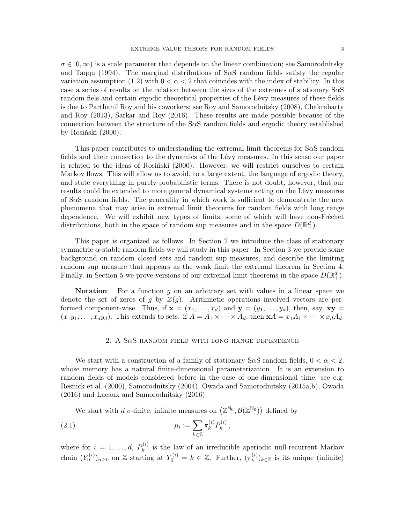$\sigma \in [0,\infty)$  is a scale parameter that depends on the linear combination; see Samorodnitsky and Taqqu (1994). The marginal distributions of S $\alpha$ S random fields satisfy the regular variation assumption (1.2) with  $0 < \alpha < 2$  that coincides with the index of stability. In this case a series of results on the relation between the sizes of the extremes of stationary  $S\alpha S$ random fiels and certain ergodic-theoretical properties of the Lévy measures of these fields is due to Parthanil Roy and his coworkers; see Roy and Samorodnitsky (2008), Chakrabarty and Roy (2013), Sarkar and Roy (2016). These results are made possible because of the connection between the structure of the  $S\alpha S$  random fields and ergodic theory established by Rosiński (2000).

This paper contributes to understanding the extremal limit theorems for  $S\alpha S$  random fields and their connection to the dynamics of the Lévy measures. In this sense our paper is related to the ideas of Rosiński (2000). However, we will restrict ourselves to certain Markov flows. This will allow us to avoid, to a large extent, the language of ergodic theory, and state everything in purely probabilistic terms. There is not doubt, however, that our results could be extended to more general dynamical systems acting on the Lévy measures of SαS random fields. The generality in which work is sufficient to demonstrate the new phenomena that may arise in extremal limit theorems for random fields with long range dependence. We will exhibit new types of limits, some of which will have non-Fréchet distributions, both in the space of random sup measures and in the space  $D(\mathbb{R}^d_+)$ .

This paper is organized as follows. In Section 2 we introduce the class of stationary symmetric  $\alpha$ -stable random fields we will study in this paper. In Section 3 we provide some background on random closed sets and random sup measures, and describe the limiting random sup measure that appears as the weak limit the extremal theorem in Section 4. Finally, in Section 5 we prove versions of our extremal limit theorems in the space  $D(\mathbb{R}^d_+)$ .

**Notation:** For a function  $q$  on an arbitrary set with values in a linear space we denote the set of zeros of g by  $\mathcal{Z}(g)$ . Arithmetic operations involved vectors are performed component-wise. Thus, if  $\mathbf{x} = (x_1, \dots, x_d)$  and  $\mathbf{y} = (y_1, \dots, y_d)$ , then, say,  $\mathbf{x} \mathbf{y} =$  $(x_1y_1, \ldots, x_dy_d)$ . This extends to sets: if  $A = A_1 \times \cdots \times A_d$ , then  $\mathbf{x}A = x_1A_1 \times \cdots \times x_dA_d$ .

#### 2. A S $\alpha$ S random field with long range dependence

We start with a construction of a family of stationary S $\alpha$ S random fields,  $0 < \alpha < 2$ , whose memory has a natural finite-dimensional parameterization. It is an extension to random fields of models considered before in the case of one-dimensional time; see e.g. Resnick et al. (2000), Samorodnitsky (2004), Owada and Samorodnitsky (2015a,b), Owada (2016) and Lacaux and Samorodnitsky (2016).

We start with d  $\sigma$ -finite, infinite measures on  $(\mathbb{Z}^{\mathbb{N}_0}, \mathcal{B}(\mathbb{Z}^{\mathbb{N}_0}))$  defined by

(2.1) 
$$
\mu_i := \sum_{k \in \mathbb{Z}} \pi_k^{(i)} P_k^{(i)},
$$

where for  $i = 1, \ldots, d, P_k^{(i)}$  $\mathbf{k}^{(i)}$  is the law of an irreducible aperiodic null-recurrent Markov chain  $(Y_n^{(i)})_{n\geq 0}$  on Z starting at  $Y_0^{(i)} = k \in \mathbb{Z}$ . Further,  $(\pi_k^{(i)})$  $\binom{n}{k}$ <sub>k</sub>∈ $\mathbb{Z}$  is its unique (infinite)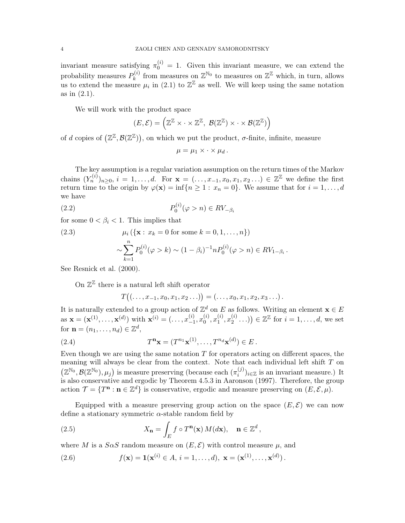invariant measure satisfying  $\pi_0^{(i)} = 1$ . Given this invariant measure, we can extend the probability measures  $P_k^{(i)}$  $\mathbb{Z}_k^{(i)}$  from measures on  $\mathbb{Z}^{\mathbb{N}_0}$  to measures on  $\mathbb{Z}^{\mathbb{Z}}$  which, in turn, allows us to extend the measure  $\mu_i$  in (2.1) to  $\mathbb{Z}^{\mathbb{Z}}$  as well. We will keep using the same notation as in (2.1).

We will work with the product space

$$
(E,\mathcal{E}) = \left(\mathbb{Z}^{\mathbb{Z}} \times \cdot \times \mathbb{Z}^{\mathbb{Z}}, \ \mathcal{B}(\mathbb{Z}^{\mathbb{Z}}) \times \cdot \times \mathcal{B}(\mathbb{Z}^{\mathbb{Z}})\right)
$$

of d copies of  $(\mathbb{Z}^{\mathbb{Z}}, \mathcal{B}(\mathbb{Z}^{\mathbb{Z}}))$ , on which we put the product,  $\sigma$ -finite, infinite, measure

$$
\mu = \mu_1 \times \cdot \times \mu_d.
$$

The key assumption is a regular variation assumption on the return times of the Markov chains  $(Y_n^{(i)})_{n\geq 0}, i=1,\ldots,d$ . For  $\mathbf{x}=(\ldots,x_{-1},x_0,x_1,x_2\ldots)\in \mathbb{Z}^{\mathbb{Z}}$  we define the first return time to the origin by  $\varphi(\mathbf{x}) = \inf\{n \geq 1 : x_n = 0\}$ . We assume that for  $i = 1, \ldots, d$ we have

$$
(2.2) \t\t\t P_0^{(i)}(\varphi > n) \in RV_{-\beta_i}
$$

for some  $0 < \beta_i < 1$ . This implies that

(2.3) 
$$
\mu_i (\{\mathbf{x} : x_k = 0 \text{ for some } k = 0, 1, ..., n\})
$$

$$
\sim \sum_{k=1}^n P_0^{(i)}(\varphi > k) \sim (1 - \beta_i)^{-1} n P_0^{(i)}(\varphi > n) \in RV_{1-\beta_i}
$$

See Resnick et al. (2000).

On  $\mathbb{Z}^{\mathbb{Z}}$  there is a natural left shift operator

$$
T((\ldots,x_{-1},x_0,x_1,x_2\ldots))=(\ldots,x_0,x_1,x_2,x_3\ldots).
$$

.

It is naturally extended to a group action of  $\mathbb{Z}^d$  on E as follows. Writing an element  $\mathbf{x} \in E$ as  $\mathbf{x} = (\mathbf{x}^{(1)}, \dots, \mathbf{x}^{(d)})$  with  $\mathbf{x}^{(i)} = (\dots, x_{-1}^{(i)})$  $\binom{i}{-1}, x_0^{(i)}$  $_0^{\left( i\right) },x_1^{\left( i\right) }$  $\binom{i}{1}, x_2^{(i)}$  $\binom{i}{2} \ldots$ )  $\in \mathbb{Z}^{\mathbb{Z}}$  for  $i = 1, \ldots, d$ , we set for  $\mathbf{n} = (n_1, \ldots, n_d) \in \mathbb{Z}^d$ ,

(2.4) 
$$
T^{\mathbf{n}}\mathbf{x} = (T^{n_1}\mathbf{x}^{(1)}, \dots, T^{n_d}\mathbf{x}^{(d)}) \in E.
$$

Even though we are using the same notation  $T$  for operators acting on different spaces, the meaning will always be clear from the context. Note that each individual left shift  $T$  on  $(\mathbb{Z}^{\mathbb{N}_0}, \mathcal{B}(\mathbb{Z}^{\mathbb{N}_0}), \mu_j)$  is measure preserving (because each  $(\pi_i^{(j)})$  $\binom{J}{i}$ <sub>i</sub> $\in \mathbb{Z}$  is an invariant measure.) It is also conservative and ergodic by Theorem 4.5.3 in Aaronson (1997). Therefore, the group action  $\mathcal{T} = \{T^{\mathbf{n}} : \mathbf{n} \in \mathbb{Z}^d\}$  is conservative, ergodic and measure preserving on  $(E, \mathcal{E}, \mu)$ .

Equipped with a measure preserving group action on the space  $(E, \mathcal{E})$  we can now define a stationary symmetric  $\alpha$ -stable random field by

,

(2.5) 
$$
X_{\mathbf{n}} = \int_{E} f \circ T^{\mathbf{n}}(\mathbf{x}) M(d\mathbf{x}), \quad \mathbf{n} \in \mathbb{Z}^{d}
$$

where M is a  $S\alpha S$  random measure on  $(E, \mathcal{E})$  with control measure  $\mu$ , and

(2.6) 
$$
f(\mathbf{x}) = \mathbf{1}(\mathbf{x}^{(i)} \in A, i = 1,...,d), \mathbf{x} = (\mathbf{x}^{(1)}, ..., \mathbf{x}^{(d)}).
$$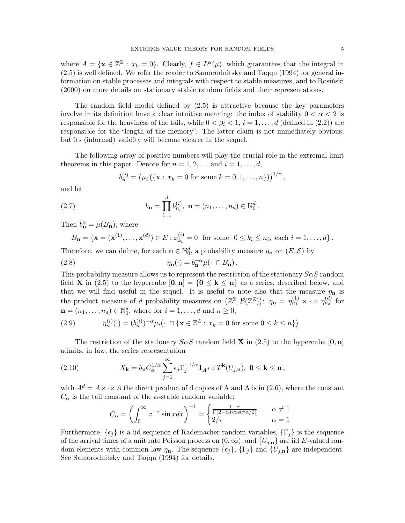where  $A = \{ \mathbf{x} \in \mathbb{Z}^{\mathbb{Z}} : x_0 = 0 \}.$  Clearly,  $f \in L^{\alpha}(\mu)$ , which guarantees that the integral in (2.5) is well defined. We refer the reader to Samorodnitsky and Taqqu (1994) for general information on stable processes and integrals with respect to stable measures, and to Rosiński (2000) on more details on stationary stable random fields and their representations.

The random field model defined by (2.5) is attractive because the key parameters involve in its definition have a clear intuitive meaning: the index of stability  $0 < \alpha < 2$  is responsible for the heaviness of the tails, while  $0 < \beta_i < 1, i = 1, \ldots, d$  (defined in (2.2)) are responsible for the "length of the memory". The latter claim is not immediately obvious, but its (informal) validity will become clearer in the sequel.

The following array of positive numbers will play the crucial role in the extremal limit theorems in this paper. Denote for  $n = 1, 2, \ldots$  and  $i = 1, \ldots, d$ ,

$$
b_n^{(i)} = (\mu_i \left( \{ \mathbf{x} : x_k = 0 \text{ for some } k = 0, 1, ..., n \} \right))^{1/\alpha},
$$

and let

(2.7) 
$$
b_{\mathbf{n}} = \prod_{i=1}^{d} b_{n_i}^{(i)}, \ \mathbf{n} = (n_1, \dots, n_d) \in \mathbb{N}_0^d.
$$

Then  $b_{\mathbf{n}}^{\alpha} = \mu(B_{\mathbf{n}})$ , where

$$
B_{\mathbf{n}} = \{ \mathbf{x} = (\mathbf{x}^{(1)}, \dots, \mathbf{x}^{(d)}) \in E : x_{k_i}^{(i)} = 0 \text{ for some } 0 \le k_i \le n_i, \text{ each } i = 1, \dots, d \}.
$$

Therefore, we can define, for each  $\mathbf{n} \in \mathbb{N}_0^d$ , a probability measure  $\eta_{\mathbf{n}}$  on  $(E, \mathcal{E})$  by

(2.8) 
$$
\eta_{\mathbf{n}}(\cdot) = b_{\mathbf{n}}^{-\alpha} \mu(\cdot \cap B_{\mathbf{n}}).
$$

This probability measure allows us to represent the restriction of the stationary  $S\alpha S$  random field **X** in (2.5) to the hypercube  $[0, n] = \{0 \leq k \leq n\}$  as a series, described below, and that we will find useful in the sequel. It is useful to note also that the measure  $\eta_n$  is the product measure of d probability measures on  $(\mathbb{Z}^{\mathbb{Z}}, \mathcal{B}(\mathbb{Z}^{\mathbb{Z}}))$ :  $\eta_{n} = \eta_{n_1}^{(1)} \times \cdot \times \eta_{n_d}^{(d)}$  for  $\mathbf{n} = (n_1, \ldots, n_d) \in \mathbb{N}_0^d$ , where for  $i = 1, \ldots, d$  and  $n \geq 0$ ,

(2.9) 
$$
\eta_n^{(i)}(\cdot) = (b_n^{(i)})^{-\alpha} \mu_i(\cdot \cap \{ \mathbf{x} \in \mathbb{Z}^{\mathbb{Z}} : x_k = 0 \text{ for some } 0 \le k \le n \}).
$$

The restriction of the stationary  $S \alpha S$  random field **X** in (2.5) to the hypercube [0, n] admits, in law, the series representation

(2.10) 
$$
X_{\mathbf{k}} = b_{\mathbf{n}} C_{\alpha}^{1/\alpha} \sum_{j=1}^{\infty} \epsilon_j \Gamma_j^{-1/\alpha} \mathbf{1}_{A^d} \circ T^{\mathbf{k}}(U_{j,\mathbf{n}}), \ \mathbf{0} \leq \mathbf{k} \leq \mathbf{n},
$$

with  $A^d = A \times \cdot \times A$  the direct product of d copies of A and A is in (2.6), where the constant  $C_{\alpha}$  is the tail constant of the  $\alpha$ -stable random variable:

$$
C_{\alpha} = \left(\int_0^{\infty} x^{-\alpha} \sin x dx\right)^{-1} = \begin{cases} \frac{1-\alpha}{\Gamma(2-\alpha)\cos(\pi\alpha/2)} & \alpha \neq 1\\ 2/\pi & \alpha = 1 \end{cases}.
$$

Furthermore,  $\{\epsilon_i\}$  is a iid sequence of Rademacher random variables,  $\{\Gamma_i\}$  is the sequence of the arrival times of a unit rate Poisson process on  $(0, \infty)$ , and  $\{U_{j,n}\}\$ are iid E-valued random elements with common law  $\eta_n$ . The sequence  $\{\epsilon_j\}$ ,  $\{\Gamma_j\}$  and  $\{U_{j,n}\}$  are independent. See Samorodnitsky and Taqqu (1994) for details.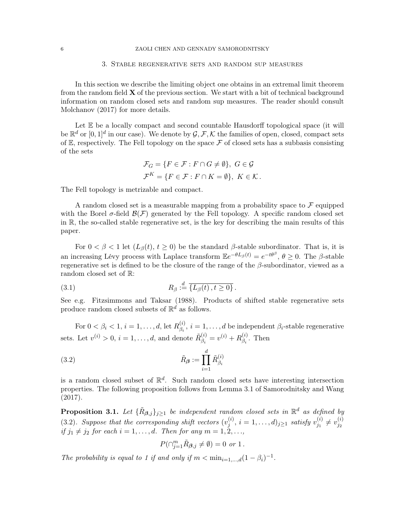### 3. Stable regenerative sets and random sup measures

In this section we describe the limiting object one obtains in an extremal limit theorem from the random field  $\bf{X}$  of the previous section. We start with a bit of technical background information on random closed sets and random sup measures. The reader should consult Molchanov (2017) for more details.

Let  $E$  be a locally compact and second countable Hausdorff topological space (it will be  $\mathbb{R}^d$  or  $[0,1]^d$  in our case). We denote by  $\mathcal{G},\mathcal{F},\mathcal{K}$  the families of open, closed, compact sets of  $E$ , respectively. The Fell topology on the space  $\mathcal F$  of closed sets has a subbasis consisting of the sets

$$
\mathcal{F}_G = \{ F \in \mathcal{F} : F \cap G \neq \emptyset \}, \ G \in \mathcal{G}
$$
  

$$
\mathcal{F}^K = \{ F \in \mathcal{F} : F \cap K = \emptyset \}, \ K \in \mathcal{K}.
$$

The Fell topology is metrizable and compact.

A random closed set is a measurable mapping from a probability space to  $\mathcal F$  equipped with the Borel  $\sigma$ -field  $\mathcal{B}(\mathcal{F})$  generated by the Fell topology. A specific random closed set in R, the so-called stable regenerative set, is the key for describing the main results of this paper.

For  $0 < \beta < 1$  let  $(L_{\beta}(t), t \ge 0)$  be the standard  $\beta$ -stable subordinator. That is, it is an increasing Lévy process with Laplace transform  $\mathbb{E}e^{-\theta L_{\beta}(t)} = e^{-t\theta^{\beta}}, \theta \ge 0$ . The  $\beta$ -stable regenerative set is defined to be the closure of the range of the  $\beta$ -subordinator, viewed as a random closed set of R:

(3.1) 
$$
R_{\beta} := \overline{\{L_{\beta}(t), t \geq 0\}}.
$$

See e.g. Fitzsimmons and Taksar (1988). Products of shifted stable regenerative sets produce random closed subsets of  $\mathbb{R}^d$  as follows.

For  $0 < \beta_i < 1, i = 1, ..., d$ , let  $R_{\beta_i}^{(i)}$  $\beta_i^{(i)}$ ,  $i = 1, ..., d$  be independent  $\beta_i$ -stable regenerative sets. Let  $v^{(i)} > 0$ ,  $i = 1, \ldots, d$ , and denote  $\tilde{R}_{\beta_i}^{(i)}$  $\binom{i}{\beta_i} = v^{(i)} + R_{\beta_i}^{(i)}$  $\beta_i^{(i)}$ . Then

(3.2) 
$$
\tilde{R}_{\beta} := \prod_{i=1}^{d} \tilde{R}_{\beta_i}^{(i)}
$$

is a random closed subset of  $\mathbb{R}^d$ . Such random closed sets have interesting intersection properties. The following proposition follows from Lemma 3.1 of Samorodnitsky and Wang (2017).

**Proposition 3.1.** Let  $\{\tilde{R}_{\beta,j}\}_{j\geq 1}$  be independent random closed sets in  $\mathbb{R}^d$  as defined by (3.2). Suppose that the corresponding shift vectors  $(v_i^{(i)})$  $j^{(i)}$ ,  $i = 1, ..., d$ ) $_{j \geq 1}$  satisfy  $v_{j_1}^{(i)}$  $y_{j_1}^{(i)} \neq v_{j_2}^{(i)}$ (3.2). Suppose that the corresponding shift vectors  $(v_j, i = 1, ..., a)_{j \geq 1}$  satisfy  $v_{j_1} \neq v_{j_2}$ <br>if  $j_1 \neq j_2$  for each  $i = 1, ..., d$ . Then for any  $m = 1, 2, ...,$ 

$$
P(\cap_{j=1}^{m} \tilde{R}_{\beta,j} \neq \emptyset) = 0 \text{ or } 1.
$$

The probability is equal to 1 if and only if  $m < \min_{i=1,\dots,d} (1-\beta_i)^{-1}$ .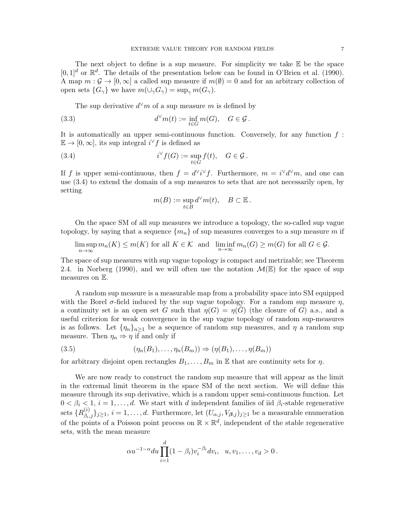The next object to define is a sup measure. For simplicity we take  $E$  be the space  $[0,1]^d$  or  $\mathbb{R}^d$ . The details of the presentation below can be found in O'Brien et al. (1990). A map  $m: \mathcal{G} \to [0,\infty]$  a called sup measure if  $m(\emptyset) = 0$  and for an arbitrary collection of open sets  $\{G_\gamma\}$  we have  $m(\cup_\gamma G_\gamma) = \sup_\gamma m(G_\gamma)$ .

The sup derivative  $d^{\vee}m$  of a sup measure m is defined by

(3.3) 
$$
d^{\vee}m(t) := \inf_{t \in G} m(G), \quad G \in \mathcal{G}.
$$

It is automatically an upper semi-continuous function. Conversely, for any function  $f$ :  $\mathbb{E} \to [0,\infty]$ , its sup integral  $i^{\vee} f$  is defined as

(3.4) 
$$
i^{\vee} f(G) := \sup_{t \in G} f(t), \quad G \in \mathcal{G}.
$$

If f is upper semi-continuous, then  $f = d^{\vee}i^{\vee}f$ . Furthermore,  $m = i^{\vee}d^{\vee}m$ , and one can use (3.4) to extend the domain of a sup measures to sets that are not necessarily open, by setting

$$
m(B):=\sup_{t\in B}d^\vee m(t),\quad B\subset\mathbb{E}\,.
$$

On the space SM of all sup measures we introduce a topology, the so-called sup vague topology, by saying that a sequence  ${m_n}$  of sup measures converges to a sup measure m if

lim sup  $m \sup_{n \to \infty} m_n(K) \le m(K)$  for all  $K \in \mathcal{K}$  and  $\liminf_{n \to \infty} m_n(G) \ge m(G)$  for all  $G \in \mathcal{G}$ .

The space of sup measures with sup vague topology is compact and metrizable; see Theorem 2.4. in Norberg (1990), and we will often use the notation  $\mathcal{M}(\mathbb{E})$  for the space of sup measures on E.

A random sup measure is a measurable map from a probability space into SM equipped with the Borel  $\sigma$ -field induced by the sup vague topology. For a random sup measure  $\eta$ , a continuity set is an open set G such that  $\eta(G) = \eta(G)$  (the closure of G) a.s., and a useful criterion for weak convergence in the sup vague topology of random sup-measures is as follows. Let  $\{\eta_n\}_{n>1}$  be a sequence of random sup measures, and  $\eta$  a random sup measure. Then  $\eta_n \Rightarrow \eta$  if and only if

$$
(3.5) \qquad (\eta_n(B_1), \dots, \eta_n(B_m)) \Rightarrow (\eta(B_1), \dots, \eta(B_m))
$$

for arbitrary disjoint open rectangles  $B_1, \ldots, B_m$  in E that are continuity sets for  $\eta$ .

We are now ready to construct the random sup measure that will appear as the limit in the extremal limit theorem in the space SM of the next section. We will define this measure through its sup derivative, which is a random upper semi-continuous function. Let  $0 < \beta_i < 1, i = 1, \ldots, d$ . We start with d independent families of iid  $\beta_i$ -stable regenerative sets  $\{R^{(i)}_{\beta_i,j}\}_{j\geq 1}$ ,  $i=1,\ldots,d$ . Furthermore, let  $(U_{\alpha,j},V_{\beta,j})_{j\geq 1}$  be a measurable enumeration of the points of a Poisson point process on  $\mathbb{R} \times \mathbb{R}^d$ , independent of the stable regenerative sets, with the mean measure

$$
\alpha u^{-1-\alpha} du \prod_{i=1}^d (1-\beta_i) v_i^{-\beta_i} dv_i, \ \ u, v_1, \dots, v_d > 0.
$$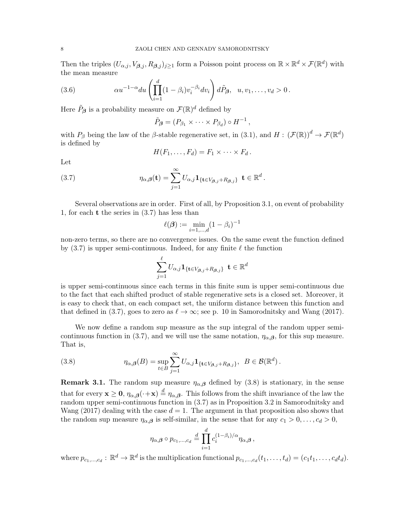Then the triples  $(U_{\alpha,j}, V_{\beta,j}, R_{\beta,j})_{j\geq 1}$  form a Poisson point process on  $\mathbb{R}\times\mathbb{R}^d\times\mathcal{F}(\mathbb{R}^d)$  with the mean measure

(3.6) 
$$
\alpha u^{-1-\alpha} du \left( \prod_{i=1}^d (1-\beta_i) v_i^{-\beta_i} dv_i \right) d\tilde{P}_{\beta}, \quad u, v_1, \ldots, v_d > 0.
$$

Here  $\tilde{P}_{\beta}$  is a probability measure on  $\mathcal{F}(\mathbb{R})^d$  defined by

$$
\tilde{P}_{\beta} = (P_{\beta_1} \times \cdots \times P_{\beta_d}) \circ H^{-1},
$$

with  $P_\beta$  being the law of the  $\beta$ -stable regenerative set, in (3.1), and  $H: (\mathcal{F}(\mathbb{R}))^d \to \mathcal{F}(\mathbb{R}^d)$ is defined by

$$
H(F_1,\ldots,F_d)=F_1\times\cdots\times F_d.
$$

Let

(3.7) 
$$
\eta_{\alpha,\beta}(\mathbf{t}) = \sum_{j=1}^{\infty} U_{\alpha,j} \mathbf{1}_{\{\mathbf{t} \in V_{\beta,j} + R_{\beta,j}\}} \mathbf{t} \in \mathbb{R}^d.
$$

Several observations are in order. First of all, by Proposition 3.1, on event of probability 1, for each t the series in (3.7) has less than

$$
\ell(\boldsymbol{\beta}) := \min_{i=1,\dots,d} (1-\beta_i)^{-1}
$$

non-zero terms, so there are no convergence issues. On the same event the function defined by  $(3.7)$  is upper semi-continuous. Indeed, for any finite  $\ell$  the function

$$
\sum_{j=1}^{\ell} U_{\alpha,j} \mathbf{1}_{\{\mathbf{t} \in V_{\boldsymbol{\beta},j} + R_{\boldsymbol{\beta},j}\}} \ \mathbf{t} \in \mathbb{R}^d
$$

is upper semi-continuous since each terms in this finite sum is upper semi-continuous due to the fact that each shifted product of stable regenerative sets is a closed set. Moreover, it is easy to check that, on each compact set, the uniform distance between this function and that defined in (3.7), goes to zero as  $\ell \to \infty$ ; see p. 10 in Samorodnitsky and Wang (2017).

We now define a random sup measure as the sup integral of the random upper semicontinuous function in (3.7), and we will use the same notation,  $\eta_{\alpha,\beta}$ , for this sup measure. That is,

(3.8) 
$$
\eta_{\alpha,\beta}(B) = \sup_{t \in B} \sum_{j=1}^{\infty} U_{\alpha,j} \mathbf{1}_{\{\mathbf{t} \in V_{\beta,j} + R_{\beta,j}\}}, \ B \in \mathcal{B}(\mathbb{R}^d).
$$

**Remark 3.1.** The random sup measure  $\eta_{\alpha,\beta}$  defined by (3.8) is stationary, in the sense that for every  $\mathbf{x} \geq \mathbf{0}$ ,  $\eta_{\alpha,\beta}(\cdot+\mathbf{x}) \stackrel{d}{=} \eta_{\alpha,\beta}$ . This follows from the shift invariance of the law the random upper semi-continuous function in (3.7) as in Proposition 3.2 in Samorodnitsky and Wang (2017) dealing with the case  $d = 1$ . The argument in that proposition also shows that the random sup measure  $\eta_{\alpha,\beta}$  is self-similar, in the sense that for any  $c_1 > 0, \ldots, c_d > 0$ ,

$$
\eta_{\alpha,\boldsymbol{\beta}}\circ p_{c_1,\dots,c_d}\stackrel{d}{=}\prod_{i=1}^d c_i^{(1-\beta_i)/\alpha}\eta_{\alpha,\boldsymbol{\beta}},
$$

where  $p_{c_1,...,c_d}: \mathbb{R}^d \to \mathbb{R}^d$  is the multiplication functional  $p_{c_1,...,c_d}(t_1,...,t_d) = (c_1t_1,...,c_dt_d)$ .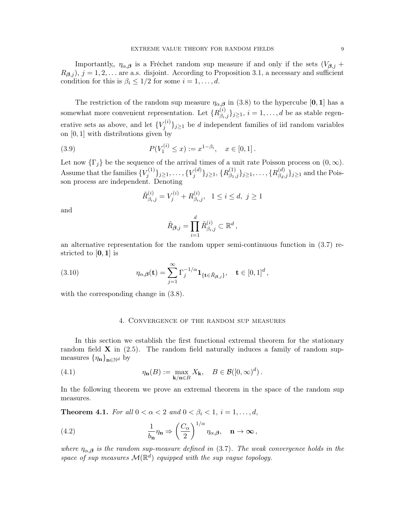Importantly,  $\eta_{\alpha,\beta}$  is a Fréchet random sup measure if and only if the sets  $(V_{\beta,j} +$  $R_{\beta,i}$ ,  $j = 1, 2, \ldots$  are a.s. disjoint. According to Proposition 3.1, a necessary and sufficient condition for this is  $\beta_i \leq 1/2$  for some  $i = 1, \ldots, d$ .

The restriction of the random sup measure  $\eta_{\alpha,\beta}$  in (3.8) to the hypercube [0, 1] has a somewhat more convenient representation. Let  $\{R^{(i)}_{\beta_i,j}\}_{j\geq 1}$ ,  $i=1,\ldots,d$  be as stable regenerative sets as above, and let  ${V_i^{(i)}}$  $j^{(i)}\} _{j\geq 1}$  be d independent families of iid random variables on [0, 1] with distributions given by

(3.9) 
$$
P(V_1^{(i)} \le x) := x^{1-\beta_i}, \quad x \in [0,1].
$$

Let now  $\{\Gamma_i\}$  be the sequence of the arrival times of a unit rate Poisson process on  $(0,\infty)$ . Assume that the families  ${V_i^{(1)}}$  $\{y_j^{(1)}\}_{j\geq 1},\ldots, \{V_j^{(d)}\}$  $\{R^{(d)}_{\beta_1,j}\}_{j\geq 1}, \, \{R^{(1)}_{\beta_1,j}\}_{j\geq 1}, \ldots, \{R^{(d)}_{\beta_d,j}\}_{j\geq 1}$  and the Poisson process are independent. Denoting

$$
\tilde{R}^{(i)}_{\beta_i,j} = V_j^{(i)} + R^{(i)}_{\beta_i,j}, \ \ 1 \le i \le d, \ j \ge 1
$$

and

$$
\tilde{R}_{\boldsymbol{\beta},j} = \prod_{i=1}^d \tilde{R}_{\beta_i,j}^{(i)} \subset \mathbb{R}^d \,,
$$

an alternative representation for the random upper semi-continuous function in (3.7) restricted to  $[0, 1]$  is

(3.10) 
$$
\eta_{\alpha,\beta}(\mathbf{t}) = \sum_{j=1}^{\infty} \Gamma_j^{-1/\alpha} \mathbf{1}_{\{\mathbf{t} \in \tilde{R}_{\beta,j}\}}, \quad \mathbf{t} \in [0,1]^d,
$$

with the corresponding change in  $(3.8)$ .

#### 4. Convergence of the random sup measures

In this section we establish the first functional extremal theorem for the stationary random field  $X$  in (2.5). The random field naturally induces a family of random supmeasures  $\{\eta_{\mathbf{n}}\}_{{\mathbf{n}}\in\mathbb{N}^d}$  by

(4.1) 
$$
\eta_{\mathbf{n}}(B) := \max_{\mathbf{k}/\mathbf{n} \in B} X_{\mathbf{k}}, \quad B \in \mathcal{B}([0,\infty)^d).
$$

In the following theorem we prove an extremal theorem in the space of the random sup measures.

**Theorem 4.1.** For all  $0 < \alpha < 2$  and  $0 < \beta_i < 1$ ,  $i = 1, ..., d$ ,

(4.2) 
$$
\frac{1}{b_{\mathbf{n}}} \eta_{\mathbf{n}} \Rightarrow \left(\frac{C_{\alpha}}{2}\right)^{1/\alpha} \eta_{\alpha,\beta}, \quad \mathbf{n} \to \infty,
$$

where  $\eta_{\alpha,\beta}$  is the random sup-measure defined in (3.7). The weak convergence holds in the space of sup measures  $\mathcal{M}(\mathbb{R}^d)$  equipped with the sup vague topology.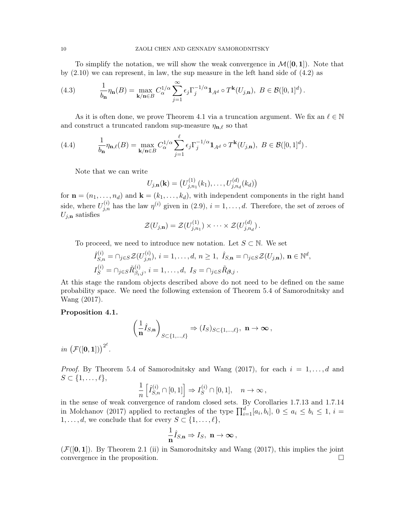To simplify the notation, we will show the weak convergence in  $\mathcal{M}([0,1])$ . Note that by  $(2.10)$  we can represent, in law, the sup measure in the left hand side of  $(4.2)$  as

(4.3) 
$$
\frac{1}{b_n}\eta_n(B) = \max_{\mathbf{k}/\mathbf{n}\in B} C_{\alpha}^{1/\alpha} \sum_{j=1}^{\infty} \epsilon_j \Gamma_j^{-1/\alpha} \mathbf{1}_{A^d} \circ T^{\mathbf{k}}(U_{j,\mathbf{n}}), \ B \in \mathcal{B}([0,1]^d).
$$

As it is often done, we prove Theorem 4.1 via a truncation argument. We fix an  $\ell \in \mathbb{N}$ and construct a truncated random sup-measure  $\eta_{n,\ell}$  so that

(4.4) 
$$
\frac{1}{b_{\mathbf{n}}}\eta_{\mathbf{n},\ell}(B) = \max_{\mathbf{k}/\mathbf{n}\in B} C_{\alpha}^{1/\alpha} \sum_{j=1}^{\ell} \epsilon_j \Gamma_j^{-1/\alpha} \mathbf{1}_{A^d} \circ T^{\mathbf{k}}(U_{j,\mathbf{n}}), \ B \in \mathcal{B}([0,1]^d).
$$

Note that we can write

$$
U_{j,n}(\mathbf{k}) = (U_{j,n_1}^{(1)}(k_1),\ldots,U_{j,n_d}^{(d)}(k_d))
$$

for  $\mathbf{n} = (n_1, \ldots, n_d)$  and  $\mathbf{k} = (k_1, \ldots, k_d)$ , with independent components in the right hand side, where  $U_{j,n}^{(i)}$  has the law  $\eta^{(i)}$  given in (2.9),  $i = 1, \ldots, d$ . Therefore, the set of zeroes of  $U_{i,n}$  satisfies

$$
\mathcal{Z}(U_{j,\mathbf{n}})=\mathcal{Z}(U_{j,n_1}^{(1)})\times\cdots\times\mathcal{Z}(U_{j,n_d}^{(d)}).
$$

To proceed, we need to introduce new notation. Let  $S \subset \mathbb{N}$ . We set

$$
\hat{I}_{S,n}^{(i)} = \cap_{j \in S} \mathcal{Z}(U_{j,n}^{(i)}), \ i = 1, \dots, d, \ n \ge 1, \ \hat{I}_{S,\mathbf{n}} = \cap_{j \in S} \mathcal{Z}(U_{j,\mathbf{n}}), \ \mathbf{n} \in \mathbb{N}^d,
$$
\n
$$
I_S^{(i)} = \cap_{j \in S} \tilde{R}_{\beta_i,j}^{(i)}, \ i = 1, \dots, d, \ I_S = \cap_{j \in S} \tilde{R}_{\beta,j}.
$$

At this stage the random objects described above do not need to be defined on the same probability space. We need the following extension of Theorem 5.4 of Samorodnitsky and Wang (2017).

## Proposition 4.1.

$$
\left(\frac{1}{\mathbf{n}}\hat{I}_{S,\mathbf{n}}\right)_{S\subset\{1,\ldots,\ell\}} \Rightarrow (I_S)_{S\subset\{1,\ldots,\ell\}},\ \mathbf{n}\to\infty\,,
$$

in  $\left(\mathcal{F}([0,1])\right)^{2^{\ell}}$ .

*Proof.* By Theorem 5.4 of Samorodnitsky and Wang (2017), for each  $i = 1, \ldots, d$  and  $S \subset \{1, \ldots, \ell\},\$ 

$$
\frac{1}{n}\left[\hat I_{S,n}^{(i)}\cap[0,1]\right]\Rightarrow I_S^{(i)}\cap[0,1],\quad n\to\infty\,,
$$

in the sense of weak convergence of random closed sets. By Corollaries 1.7.13 and 1.7.14 in Molchanov (2017) applied to rectangles of the type  $\prod_{i=1}^{d} [a_i, b_i]$ ,  $0 \le a_i \le b_i \le 1$ ,  $i =$  $1, \ldots, d$ , we conclude that for every  $S \subset \{1, \ldots, \ell\},\$ 

$$
\frac{1}{n}\hat{I}_{S,n} \Rightarrow I_S, \ \mathbf{n} \to \infty \,,
$$

 $(\mathcal{F}([0,1])$ . By Theorem 2.1 (ii) in Samorodnitsky and Wang (2017), this implies the joint convergence in the proposition.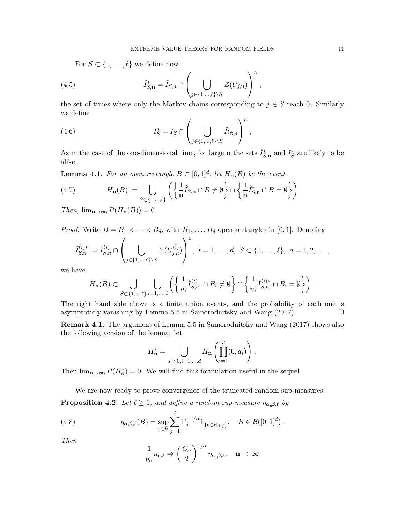For  $S \subset \{1, \ldots, \ell\}$  we define now

(4.5) 
$$
\hat{I}_{S,\mathbf{n}}^* = \hat{I}_{S,n} \cap \left( \bigcup_{j \in \{1,\ldots,\ell\} \setminus S} \mathcal{Z}(U_{j,\mathbf{n}}) \right)^c,
$$

the set of times where only the Markov chains corresponding to  $j \in S$  reach 0. Similarly we define

(4.6) 
$$
I_S^* = I_S \cap \left( \bigcup_{j \in \{1, \dots, \ell\} \backslash S} \tilde{R}_{\beta, j} \right)^c,
$$

As in the case of the one-dimensional time, for large **n** the sets  $\hat{I}_{S,n}^*$  and  $I_S^*$  are likely to be alike.

**Lemma 4.1.** For an open rectangle  $B \subset [0,1]^d$ , let  $H_n(B)$  be the event

(4.7) 
$$
H_{\mathbf{n}}(B) := \bigcup_{S \subset \{1, \dots, \ell\}} \left( \left\{ \frac{1}{n} \hat{I}_{S, \mathbf{n}} \cap B \neq \emptyset \right\} \cap \left\{ \frac{1}{n} \hat{I}_{S, \mathbf{n}}^* \cap B = \emptyset \right\} \right)
$$

Then,  $\lim_{n\to\infty} P(H_n(B)) = 0$ .

*Proof.* Write  $B = B_1 \times \cdots \times B_d$ , with  $B_1, \ldots, B_d$  open rectangles in [0, 1]. Denoting

$$
\hat{I}_{S,n}^{(i)*} := \hat{I}_{S,n}^{(i)} \cap \left( \bigcup_{j \in \{1, ..., \ell\} \setminus S} \mathcal{Z}(U_{j,n}^{(i)}) \right)^c, \ i = 1, ..., d, \ S \subset \{1, ..., \ell\}, \ n = 1, 2, ...,
$$

we have

$$
H_{\mathbf{n}}(B) \subset \bigcup_{S \subset \{1,\ldots,\ell\}} \bigcup_{i=1,\ldots,d} \left( \left\{ \frac{1}{n_i} \hat{I}_{S,n_i}^{(i)} \cap B_i \neq \emptyset \right\} \cap \left\{ \frac{1}{n_i} \hat{I}_{S,n_i}^{(i)*} \cap B_i = \emptyset \right\} \right).
$$

The right hand side above is a finite union events, and the probability of each one is asymptoticly vanishing by Lemma 5.5 in Samorodnitsky and Wang  $(2017)$ .

Remark 4.1. The argument of Lemma 5.5 in Samorodnitsky and Wang (2017) shows also the following version of the lemma: let

$$
H_{\mathbf{n}}^* = \bigcup_{a_i > 0, i=1,\dots,d} H_{\mathbf{n}} \left( \prod_{i=1}^d (0, a_i) \right).
$$

Then  $\lim_{n\to\infty} P(H_n^*)=0$ . We will find this formulation useful in the sequel.

We are now ready to prove convergence of the truncated random sup-measures.

**Proposition 4.2.** Let  $\ell \geq 1$ , and define a random sup-measure  $\eta_{\alpha,\beta,\ell}$  by

(4.8) 
$$
\eta_{\alpha,\beta,\ell}(B) = \sup_{\mathbf{t}\in B} \sum_{j=1}^{\ell} \Gamma_j^{-1/\alpha} \mathbf{1}_{\{\mathbf{t}\in \tilde{R}_{\beta,j}\}}, \quad B \in \mathcal{B}([0,1]^d).
$$

Then

$$
\frac{1}{b_{\mathbf{n}}}\eta_{\mathbf{n},\ell} \Rightarrow \left(\frac{C_{\alpha}}{2}\right)^{1/\alpha}\eta_{\alpha,\beta,\ell}, \quad \mathbf{n} \to \infty
$$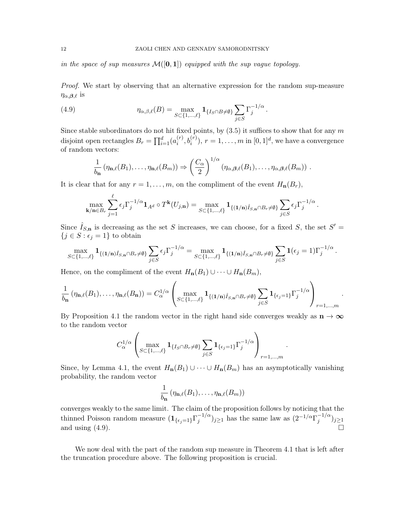in the space of sup measures  $\mathcal{M}([0,1])$  equipped with the sup vague topology.

Proof. We start by observing that an alternative expression for the random sup-measure  $\eta_{\alpha,\beta,\ell}$  is

(4.9) 
$$
\eta_{\alpha,\beta,\ell}(B) = \max_{S \subset \{1,\ldots,\ell\}} \mathbf{1}_{\{I_S \cap B \neq \emptyset\}} \sum_{j \in S} \Gamma_j^{-1/\alpha}.
$$

Since stable subordinators do not hit fixed points, by  $(3.5)$  it suffices to show that for any m disjoint open rectangles  $B_r = \prod_{i=1}^d (a_i^{(r)})$  $i^{(r)}, b_i^{(r)}), r = 1, \ldots, m$  in  $[0, 1]^d$ , we have a convergence of random vectors:

$$
\frac{1}{b_{\mathbf{n}}} \left( \eta_{\mathbf{n},\ell}(B_1),\ldots,\eta_{\mathbf{n},\ell}(B_m) \right) \Rightarrow \left( \frac{C_{\alpha}}{2} \right)^{1/\alpha} \left( \eta_{\alpha,\beta,\ell}(B_1),\ldots,\eta_{\alpha,\beta,\ell}(B_m) \right) .
$$

It is clear that for any  $r = 1, \ldots, m$ , on the compliment of the event  $H_n(B_r)$ ,

$$
\max_{\mathbf{k}/\mathbf{n}\in B_r} \sum_{j=1}^{\ell} \epsilon_j \Gamma_j^{-1/\alpha} \mathbf{1}_{A^d} \circ T^{\mathbf{k}}(U_{j,\mathbf{n}}) = \max_{S \subset \{1,\dots,\ell\}} \mathbf{1}_{\{(1/\mathbf{n})\hat{I}_{S,\mathbf{n}} \cap B_r \neq \emptyset\}} \sum_{j \in S} \epsilon_j \Gamma_j^{-1/\alpha}
$$

.

.

.

Since  $\hat{I}_{S,n}$  is decreasing as the set S increases, we can choose, for a fixed S, the set  $S' =$  $\{j \in S : \epsilon_j = 1\}$  to obtain

$$
\max_{S \subset \{1,\ldots,\ell\}} \mathbf{1}_{\{(1/n)\hat{I}_{S,n} \cap B_r \neq \emptyset\}} \sum_{j \in S} \epsilon_j \Gamma_j^{-1/\alpha} = \max_{S \subset \{1,\ldots,\ell\}} \mathbf{1}_{\{(1/n)\hat{I}_{S,n} \cap B_r \neq \emptyset\}} \sum_{j \in S} \mathbf{1}(\epsilon_j = 1) \Gamma_j^{-1/\alpha}.
$$

Hence, on the compliment of the event  $H_n(B_1) \cup \cdots \cup H_n(B_m)$ ,

$$
\frac{1}{b_{\mathbf{n}}} \left( \eta_{\mathbf{n},\ell}(B_1),\ldots,\eta_{\mathbf{n},\ell}(B_{\mathbf{n}}) \right) = C_{\alpha}^{1/\alpha} \left( \max_{S \subset \{1,\ldots,\ell\}} \mathbf{1}_{\{(1/\mathbf{n})\hat{I}_{S,\mathbf{n}} \cap B_r \neq \emptyset\}} \sum_{j \in S} \mathbf{1}_{\{\epsilon_j=1\}} \Gamma_j^{-1/\alpha} \right)_{r=1,\ldots,m}
$$

By Proposition 4.1 the random vector in the right hand side converges weakly as  $n \to \infty$ to the random vector

$$
C_{\alpha}^{1/\alpha} \left( \max_{S \subset \{1, \dots, \ell\}} \mathbf{1}_{\{I_S \cap B_r \neq \emptyset\}} \sum_{j \in S} \mathbf{1}_{\{\epsilon_j = 1\}} \Gamma_j^{-1/\alpha} \right)_{r=1, \dots, m}
$$

Since, by Lemma 4.1, the event  $H_n(B_1) \cup \cdots \cup H_n(B_m)$  has an asymptotically vanishing probability, the random vector

$$
\frac{1}{b_{\mathbf{n}}} \left( \eta_{\mathbf{n},\ell}(B_1), \ldots, \eta_{\mathbf{n},\ell}(B_m) \right)
$$

converges weakly to the same limit. The claim of the proposition follows by noticing that the thinned Poisson random measure  $(1_{\{\epsilon_j=1\}}\Gamma_j^{-1/\alpha})$  $j^{-1/\alpha}$ )<sub>j≥1</sub> has the same law as  $(2^{-1/\alpha} \Gamma_j^{-1/\alpha})$  $j^{-(1/\alpha)}$  $j \geq 1$ and using  $(4.9)$ .

We now deal with the part of the random sup measure in Theorem 4.1 that is left after the truncation procedure above. The following proposition is crucial.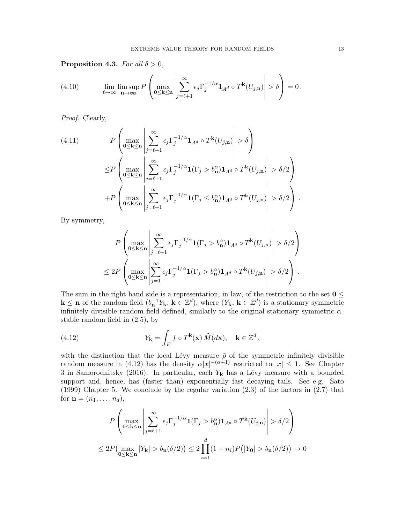**Proposition 4.3.** For all  $\delta > 0$ ,

(4.10) 
$$
\lim_{\ell \to \infty} \limsup_{\mathbf{n} \to \infty} P\left(\max_{0 \leq k \leq \mathbf{n}} \left| \sum_{j=\ell+1}^{\infty} \epsilon_j \Gamma_j^{-1/\alpha} \mathbf{1}_{A^d} \circ T^k(U_{j,\mathbf{n}}) \right| > \delta \right) = 0.
$$

Proof. Clearly,

(4.11) 
$$
P\left(\max_{0\leq\mathbf{k}\leq\mathbf{n}}\left|\sum_{j=\ell+1}^{\infty}\epsilon_{j}\Gamma_{j}^{-1/\alpha}\mathbf{1}_{A^{d}}\circ T^{\mathbf{k}}(U_{j,\mathbf{n}})\right|>\delta\right) \n\leq P\left(\max_{0\leq\mathbf{k}\leq\mathbf{n}}\left|\sum_{j=\ell+1}^{\infty}\epsilon_{j}\Gamma_{j}^{-1/\alpha}\mathbf{1}(\Gamma_{j}>\delta_{\mathbf{n}}^{\alpha})\mathbf{1}_{A^{d}}\circ T^{\mathbf{k}}(U_{j,\mathbf{n}})\right|>\delta/2\right) +P\left(\max_{0\leq\mathbf{k}\leq\mathbf{n}}\left|\sum_{j=\ell+1}^{\infty}\epsilon_{j}\Gamma_{j}^{-1/\alpha}\mathbf{1}(\Gamma_{j}\leq\delta_{\mathbf{n}}^{\alpha})\mathbf{1}_{A^{d}}\circ T^{\mathbf{k}}(U_{j,\mathbf{n}})\right|>\delta/2\right).
$$

By symmetry,

$$
P\left(\max_{0\leq\mathbf{k}\leq\mathbf{n}}\left|\sum_{j=\ell+1}^{\infty}\epsilon_j\Gamma_j^{-1/\alpha}\mathbf{1}(\Gamma_j > b_{\mathbf{n}}^{\alpha})\mathbf{1}_{A^d}\circ T^{\mathbf{k}}(U_{j,\mathbf{n}})\right| > \delta/2\right)
$$
  

$$
\leq 2P\left(\max_{0\leq\mathbf{k}\leq\mathbf{n}}\left|\sum_{j=1}^{\infty}\epsilon_j\Gamma_j^{-1/\alpha}\mathbf{1}(\Gamma_j > b_{\mathbf{n}}^{\alpha})\mathbf{1}_{A^d}\circ T^{\mathbf{k}}(U_{j,\mathbf{n}})\right| > \delta/2\right).
$$

The sum in the right hand side is a representation, in law, of the restriction to the set  $0 \leq$  $\mathbf{k} \leq \mathbf{n}$  of the random field  $(b_n^{-1}Y_\mathbf{k}, \mathbf{k} \in \mathbb{Z}^d)$ , where  $(Y_\mathbf{k}, \mathbf{k} \in \mathbb{Z}^d)$  is a stationary symmetric infinitely divisible random field defined, similarly to the original stationary symmetric  $\alpha$ stable random field in (2.5), by

(4.12) 
$$
Y_{\mathbf{k}} = \int_{E} f \circ T^{\mathbf{k}}(\mathbf{x}) \, \tilde{M}(d\mathbf{x}), \quad \mathbf{k} \in \mathbb{Z}^{d},
$$

with the distinction that the local Lévy measure  $\tilde{\rho}$  of the symmetric infinitely divisible random measure in (4.12) has the density  $\alpha |x|^{-(\alpha+1)}$  restricted to  $|x| \leq 1$ . See Chapter 3 in Samorodnitsky (2016). In particular, each  $Y_k$  has a Lévy measure with a bounded support and, hence, has (faster than) exponentially fast decaying tails. See e.g. Sato (1999) Chapter 5. We conclude by the regular variation (2.3) of the factors in (2.7) that for  $\mathbf{n} = (n_1, \ldots, n_d)$ ,

$$
P\left(\max_{0\leq\mathbf{k}\leq\mathbf{n}}\left|\sum_{j=\ell+1}^{\infty}\epsilon_j\Gamma_j^{-1/\alpha}\mathbf{1}(\Gamma_j>b_{\mathbf{n}}^{\alpha})\mathbf{1}_{A^d}\circ T^{\mathbf{k}}(U_{j,\mathbf{n}})\right|>\delta/2\right)
$$
  

$$
\leq 2P\left(\max_{0\leq\mathbf{k}\leq\mathbf{n}}|Y_{\mathbf{k}}|>b_{\mathbf{n}}(\delta/2)\right)\leq 2\prod_{i=1}^d(1+n_i)P\big(|Y_0|>b_{\mathbf{n}}(\delta/2)\big)\to 0
$$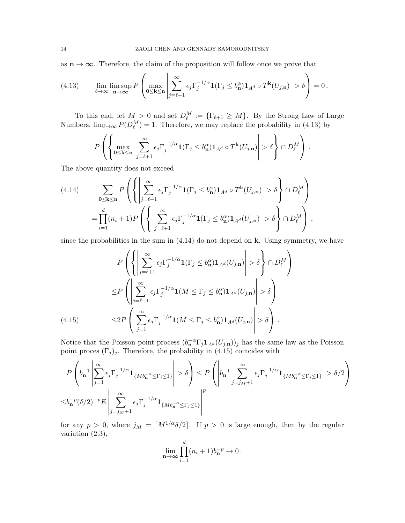as  $n \to \infty$ . Therefore, the claim of the proposition will follow once we prove that

(4.13) 
$$
\lim_{\ell \to \infty} \limsup_{n \to \infty} P\left(\max_{0 \le k \le n} \left| \sum_{j=\ell+1}^{\infty} \epsilon_j \Gamma_j^{-1/\alpha} \mathbf{1}(\Gamma_j \le b_n^{\alpha}) \mathbf{1}_{A^d} \circ T^k(U_{j,n}) \right| > \delta \right) = 0.
$$

To this end, let  $M > 0$  and set  $D_{\ell}^M := {\{\Gamma_{\ell+1} \geq M\}}$ . By the Strong Law of Large Numbers,  $\lim_{\ell \to \infty} P(D_{\ell}^M) = 1$ . Therefore, we may replace the probability in (4.13) by

$$
P\left(\left\{\max_{0\leq\mathbf{k}\leq\mathbf{n}}\left|\sum_{j=\ell+1}^{\infty}\epsilon_j\Gamma_j^{-1/\alpha}\mathbf{1}(\Gamma_j\leq b_{\mathbf{n}}^{\alpha})\mathbf{1}_{A^d}\circ T^{\mathbf{k}}(U_{j,\mathbf{n}})\right|>\delta\right\}\cap D_{\ell}^M\right)\,.
$$

The above quantity does not exceed

$$
(4.14) \qquad \sum_{\mathbf{0}\leq\mathbf{k}\leq\mathbf{n}} P\left(\left\{\left|\sum_{j=\ell+1}^{\infty}\epsilon_j\Gamma_j^{-1/\alpha}\mathbf{1}(\Gamma_j\leq b_{\mathbf{n}}^{\alpha})\mathbf{1}_{A^d}\circ T^{\mathbf{k}}(U_{j,\mathbf{n}})\right|>\delta\right\}\cap D_{\ell}^M\right) \\
= \prod_{i=1}^d (n_i+1)P\left(\left\{\left|\sum_{j=\ell+1}^{\infty}\epsilon_j\Gamma_j^{-1/\alpha}\mathbf{1}(\Gamma_j\leq b_{\mathbf{n}}^{\alpha})\mathbf{1}_{A^d}(U_{j,\mathbf{n}})\right|>\delta\right\}\cap D_{\ell}^M\right),
$$

since the probabilities in the sum in  $(4.14)$  do not depend on k. Using symmetry, we have

$$
P\left(\left\{\left|\sum_{j=\ell+1}^{\infty}\epsilon_j\Gamma_j^{-1/\alpha}\mathbf{1}(\Gamma_j \le b_{\mathbf{n}}^{\alpha})\mathbf{1}_{A^d}(U_{j,\mathbf{n}})\right| > \delta\right\} \cap D_{\ell}^M\right)
$$
  
\n
$$
\le P\left(\left|\sum_{j=\ell+1}^{\infty}\epsilon_j\Gamma_j^{-1/\alpha}\mathbf{1}(M \le \Gamma_j \le b_{\mathbf{n}}^{\alpha})\mathbf{1}_{A^d}(U_{j,\mathbf{n}})\right| > \delta\right)
$$
  
\n
$$
\le 2P\left(\left|\sum_{j=1}^{\infty}\epsilon_j\Gamma_j^{-1/\alpha}\mathbf{1}(M \le \Gamma_j \le b_{\mathbf{n}}^{\alpha})\mathbf{1}_{A^d}(U_{j,\mathbf{n}})\right| > \delta\right).
$$

Notice that the Poisson point process  $(b_n^{-\alpha} \Gamma_j \mathbf{1}_{A^d}(U_{j,n}))_j$  has the same law as the Poisson point proces  $(\Gamma_j)_j$ . Therefore, the probability in (4.15) coincides with

$$
P\left(b_n^{-1} \left| \sum_{j=1}^{\infty} \epsilon_j \Gamma_j^{-1/\alpha} \mathbf{1}_{\{Mb_n^{-\alpha} \leq \Gamma_j \leq 1\}} \right| > \delta \right) \leq P\left(\left| b_n^{-1} \sum_{j=j_M+1}^{\infty} \epsilon_j \Gamma_j^{-1/\alpha} \mathbf{1}_{\{Mb_n^{-\alpha} \leq \Gamma_j \leq 1\}} \right| > \delta/2\right)
$$
  

$$
\leq b_n^{-p} (\delta/2)^{-p} E\left|\sum_{j=j_M+1}^{\infty} \epsilon_j \Gamma_j^{-1/\alpha} \mathbf{1}_{\{Mb_n^{-\alpha} \leq \Gamma_j \leq 1\}} \right|^p
$$

for any  $p > 0$ , where  $j_M = \lceil M^{1/\alpha} \delta/2 \rceil$ . If  $p > 0$  is large enough, then by the regular variation (2.3),

$$
\lim_{n\to\infty}\prod_{i=1}^d(n_i+1)b_n^{-p}\to 0.
$$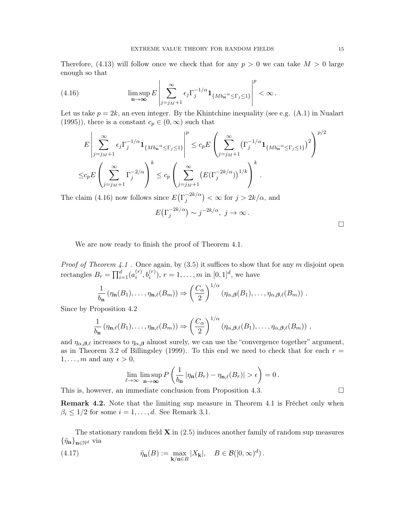Therefore,  $(4.13)$  will follow once we check that for any  $p > 0$  we can take  $M > 0$  large enough so that

(4.16) 
$$
\limsup_{n \to \infty} E \left| \sum_{j=j_M+1}^{\infty} \epsilon_j \Gamma_j^{-1/\alpha} \mathbf{1}_{\{Mb_n^{-\alpha} \leq \Gamma_j \leq 1\}} \right|^p < \infty.
$$

Let us take  $p = 2k$ , an even integer. By the Khintchine inequality (see e.g.  $(A.1)$ ) in Nualart (1995)), there is a constant  $c_p \in (0, \infty)$  such that

$$
E\left|\sum_{j=j_M+1}^{\infty}\epsilon_j\Gamma_j^{-1/\alpha}\mathbf{1}_{\{Mb_n^{-\alpha}\leq\Gamma_j\leq 1\}}\right|^p\leq c_pE\left(\sum_{j=j_M+1}^{\infty}(\Gamma_j^{-1/\alpha}\mathbf{1}_{\{Mb_n^{-\alpha}\leq\Gamma_j\leq 1\}})^2\right)^{p/2}
$$

$$
\leq c_pE\left(\sum_{j=j_M+1}^{\infty}\Gamma_j^{-2/\alpha}\right)^k\leq c_p\left(\sum_{j=j_M+1}^{\infty}(\mathbb{E}(\Gamma_j^{-2k/\alpha}))^{1/k}\right)^k.
$$

The claim (4.16) now follows since  $E(\Gamma_i^{-2k/\alpha})$  $j^{-2k/\alpha}$   $\big) < \infty$  for  $j > 2k/\alpha$ , and

| $E(\Gamma_j^{-2k/\alpha}) \sim j^{-2k/\alpha}, \ j \to \infty$ . |  |  |
|------------------------------------------------------------------|--|--|
|                                                                  |  |  |

 $\Box$ 

We are now ready to finish the proof of Theorem 4.1.

*Proof of Theorem 4.1* . Once again, by  $(3.5)$  it suffices to show that for any m disjoint open rectangles  $B_r = \prod_{i=1}^d (a_i^{(r)})$  $i^{(r)}, b_i^{(r)}), r = 1, \ldots, m$  in  $[0, 1]^d$ , we have

$$
\frac{1}{b_{\mathbf{n}}} \left( \eta_{\mathbf{n}}(B_1), \ldots, \eta_{\mathbf{n},\ell}(B_m) \right) \Rightarrow \left( \frac{C_{\alpha}}{2} \right)^{1/\alpha} \left( \eta_{\alpha,\beta}(B_1), \ldots, \eta_{\alpha,\beta,\ell}(B_m) \right) .
$$

Since by Proposition 4.2

$$
\frac{1}{b_{\mathbf{n}}} \left( \eta_{\mathbf{n},\ell}(B_1),\ldots,\eta_{\mathbf{n},\ell}(B_m) \right) \Rightarrow \left( \frac{C_{\alpha}}{2} \right)^{1/\alpha} \left( \eta_{\alpha,\beta,\ell}(B_1),\ldots,\eta_{\alpha,\beta,\ell}(B_m) \right) ,
$$

and  $\eta_{\alpha,\beta,\ell}$  increases to  $\eta_{\alpha,\beta}$  almost surely, we can use the "convergence together" argument, as in Theorem 3.2 of Billingsley (1999). To this end we need to check that for each  $r =$  $1, \ldots, m$  and any  $\epsilon > 0$ ,

$$
\lim_{\ell \to \infty} \limsup_{n \to \infty} P\left(\frac{1}{b_n} |\eta_n(B_r) - \eta_{n,\ell}(B_r)| > \epsilon\right) = 0.
$$

This is, however, an immediate conclusion from Proposition 4.3.

Remark 4.2. Note that the limiting sup measure in Theorem 4.1 is Fréchet only when  $\beta_i \leq 1/2$  for some  $i = 1, \dots, d$ . See Remark 3.1.

The stationary random field  $\bf{X}$  in (2.5) induces another family of random sup measures  $\{\tilde{\eta}_{\mathbf{n}}\}_{\mathbf{n}\in\mathbb{N}^d}$  via

(4.17) 
$$
\tilde{\eta}_{n}(B) := \max_{\mathbf{k}/n \in B} |X_{\mathbf{k}}|, \quad B \in \mathcal{B}([0,\infty)^{d}).
$$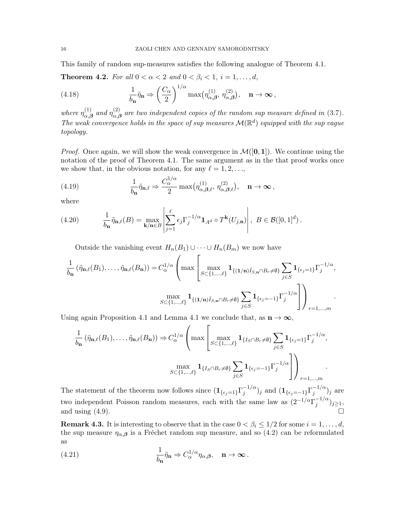This family of random sup-measures satisfies the following analogue of Theorem 4.1.

**Theorem 4.2.** For all  $0 < \alpha < 2$  and  $0 < \beta_i < 1$ ,  $i = 1, \ldots, d$ ,

(4.18) 
$$
\frac{1}{b_{\mathbf{n}}} \tilde{\eta}_{\mathbf{n}} \Rightarrow \left(\frac{C_{\alpha}}{2}\right)^{1/\alpha} \max(\eta_{\alpha,\beta}^{(1)}, \eta_{\alpha,\beta}^{(2)}), \quad \mathbf{n} \to \infty,
$$

where  $\eta_{\alpha\beta}^{(1)}$  $_{\alpha,\boldsymbol{\beta}}^{(1)}$  and  $\eta_{\alpha,\beta}^{(2)}$  $\alpha_{\alpha,\beta}^{(2)}$  are two independent copies of the random sup measure defined in (3.7). The weak convergence holds in the space of sup measures  $\mathcal{M}(\mathbb{R}^d)$  equipped with the sup vague topology.

*Proof.* Once again, we will show the weak convergence in  $\mathcal{M}([0,1])$ . We continue using the notation of the proof of Theorem 4.1. The same argument as in the that proof works once we show that, in the obvious notation, for any  $\ell = 1, 2, \ldots$ ,

(4.19) 
$$
\frac{1}{b_{\mathbf{n}}} \tilde{\eta}_{\mathbf{n},\ell} \Rightarrow \frac{C_{\alpha}^{1/\alpha}}{2} \max(\eta_{\alpha,\beta,\ell}^{(1)}, \eta_{\alpha,\beta,\ell}^{(2)}), \quad \mathbf{n} \to \infty,
$$

**1**<sup>α</sup>

where

(4.20) 
$$
\frac{1}{b_{\mathbf{n}}} \tilde{\eta}_{\mathbf{n},\ell}(B) = \max_{\mathbf{k}/\mathbf{n} \in B} \left| \sum_{j=1}^{\ell} \epsilon_j \Gamma_j^{-1/\alpha} \mathbf{1}_{A^d} \circ T^{\mathbf{k}}(U_{j,\mathbf{n}}) \right|, \ B \in \mathcal{B}([0,1]^d).
$$

Outside the vanishing event  $H_n(B_1) \cup \cdots \cup H_n(B_m)$  we now have

$$
\frac{1}{b_{\mathbf{n}}} \left( \tilde{\eta}_{\mathbf{n},\ell}(B_1), \ldots, \tilde{\eta}_{\mathbf{n},\ell}(B_{\mathbf{n}}) \right) = C_{\alpha}^{1/\alpha} \left( \max \left[ \max_{S \subset \{1,\ldots,\ell\}} \mathbf{1}_{\{(1/\mathbf{n})\hat{I}_{S,\mathbf{n}} \cap B_r \neq \emptyset\}} \sum_{j \in S} \mathbf{1}_{\{\epsilon_j = 1\}} \Gamma_j^{-1/\alpha}, \right. \\ \left. \max_{S \subset \{1,\ldots,\ell\}} \mathbf{1}_{\{(1/\mathbf{n})\hat{I}_{S,\mathbf{n}} \cap B_r \neq \emptyset\}} \sum_{j \in S} \mathbf{1}_{\{\epsilon_j = -1\}} \Gamma_j^{-1/\alpha} \right] \right)_{r=1,\ldots,m}.
$$

Using again Proposition 4.1 and Lemma 4.1 we conclude that, as  $n \to \infty$ ,

$$
\frac{1}{b_{\mathbf{n}}}(\tilde{\eta}_{\mathbf{n},\ell}(B_1),\ldots,\tilde{\eta}_{\mathbf{n},\ell}(B_{\mathbf{n}})) \Rightarrow C_{\alpha}^{1/\alpha}\left(\max\left[\max_{S\subset\{1,\ldots,\ell\}}\mathbf{1}_{\{I_S\cap B_r\neq\emptyset\}}\sum_{j\in S}\mathbf{1}_{\{\epsilon_j=1\}}\Gamma_j^{-1/\alpha},\right.\right.\left.\max_{S\subset\{1,\ldots,\ell\}}\mathbf{1}_{\{I_S\cap B_r\neq\emptyset\}}\sum_{j\in S}\mathbf{1}_{\{\epsilon_j=-1\}}\Gamma_j^{-1/\alpha}\right]\right)_{r=1,\ldots,m}.
$$

The statement of the theorem now follows since  $(1_{\{\epsilon_j=1\}}\Gamma_j^{-1/\alpha})$  $j^{-1/\alpha})_j$  and  $(\mathbf{1}_{\{\epsilon_j=-1\}}\Gamma_j^{-1/\alpha})$  $j^{1/\alpha})_j$  are two independent Poisson random measures, each with the same law as  $(2^{-1/\alpha}\Gamma_i^{-1/\alpha})$  $j^{-1/\alpha}$ ) $j\geq 1$ , and using  $(4.9)$ .

**Remark 4.3.** It is interesting to observe that in the case  $0 < \beta_i \leq 1/2$  for some  $i = 1, \ldots, d$ , the sup measure  $\eta_{\alpha,\beta}$  is a Fréchet random sup measure, and so (4.2) can be reformulated as

(4.21) 
$$
\frac{1}{b_{\mathbf{n}}} \tilde{\eta}_{\mathbf{n}} \Rightarrow C_{\alpha}^{1/\alpha} \eta_{\alpha,\beta}, \quad \mathbf{n} \to \infty.
$$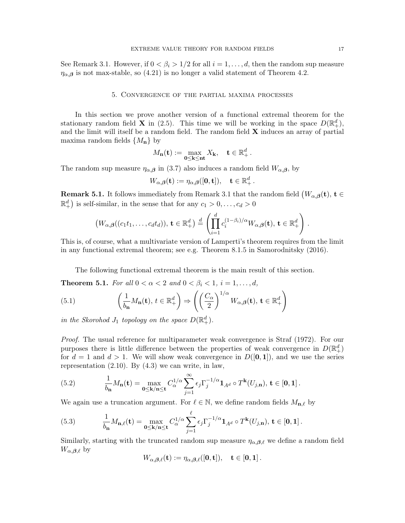See Remark 3.1. However, if  $0 < \beta_i > 1/2$  for all  $i = 1, \dots, d$ , then the random sup measure  $\eta_{\alpha,\beta}$  is not max-stable, so (4.21) is no longer a valid statement of Theorem 4.2.

## 5. Convergence of the partial maxima processes

In this section we prove another version of a functional extremal theorem for the stationary random field **X** in (2.5). This time we will be working in the space  $D(\mathbb{R}^d_+)$ , and the limit will itself be a random field. The random field  $X$  induces an array of partial maxima random fields  $\{M_{\mathbf{n}}\}$  by

$$
M_{\mathbf{n}}(\mathbf{t}) := \max_{0 \leq \mathbf{k} \leq \mathbf{n} \mathbf{t}} X_{\mathbf{k}}, \quad \mathbf{t} \in \mathbb{R}_+^d.
$$

The random sup measure  $\eta_{\alpha,\beta}$  in (3.7) also induces a random field  $W_{\alpha,\beta}$ , by

$$
W_{\alpha,\boldsymbol{\beta}}(\mathbf{t}) := \eta_{\alpha,\boldsymbol{\beta}}([\mathbf{0},\mathbf{t}]), \quad \mathbf{t} \in \mathbb{R}_+^d.
$$

**Remark 5.1.** It follows immediately from Remark 3.1 that the random field  $(W_{\alpha,\beta}(\mathbf{t}), \mathbf{t}) \in$  $\mathbb{R}^d_+$ ) is self-similar, in the sense that for any  $c_1 > 0, \ldots, c_d > 0$ 

$$
(W_{\alpha,\boldsymbol{\beta}}((c_1t_1,\ldots,c_dt_d)),\mathbf{t}\in\mathbb{R}^d_+)\stackrel{d}{=} \left(\prod_{i=1}^d c_i^{(1-\beta_i)/\alpha}W_{\alpha,\boldsymbol{\beta}}(\mathbf{t}),\mathbf{t}\in\mathbb{R}^d_+\right).
$$

This is, of course, what a multivariate version of Lamperti's theorem requires from the limit in any functional extremal theorem; see e.g. Theorem 8.1.5 in Samorodnitsky (2016).

The following functional extremal theorem is the main result of this section.

**Theorem 5.1.** For all  $0 < \alpha < 2$  and  $0 < \beta_i < 1$ ,  $i = 1, \ldots, d$ ,

(5.1) 
$$
\left(\frac{1}{b_{n}}M_{n}(\mathbf{t}), t \in \mathbb{R}^{d}_{+}\right) \Rightarrow \left(\left(\frac{C_{\alpha}}{2}\right)^{1/\alpha}W_{\alpha,\beta}(\mathbf{t}), \mathbf{t} \in \mathbb{R}^{d}_{+}\right)
$$

in the Skorohod  $J_1$  topology on the space  $D(\mathbb{R}^d_+).$ 

Proof. The usual reference for multiparameter weak convergence is Straf (1972). For our purposes there is little difference between the properties of weak convergence in  $D(\mathbb{R}^d_+)$ for  $d = 1$  and  $d > 1$ . We will show weak convergence in  $D([0, 1])$ , and we use the series representation  $(2.10)$ . By  $(4.3)$  we can write, in law,

(5.2) 
$$
\frac{1}{b_{\mathbf{n}}}M_{\mathbf{n}}(\mathbf{t}) = \max_{\mathbf{0}\leq\mathbf{k}/\mathbf{n}\leq\mathbf{t}} C_{\alpha}^{1/\alpha} \sum_{j=1}^{\infty} \epsilon_j \Gamma_j^{-1/\alpha} \mathbf{1}_{A^d} \circ T^{\mathbf{k}}(U_{j,\mathbf{n}}), \mathbf{t} \in [\mathbf{0},\mathbf{1}].
$$

We again use a truncation argument. For  $\ell \in \mathbb{N}$ , we define random fields  $M_{n,\ell}$  by

(5.3) 
$$
\frac{1}{b_{\mathbf{n}}}M_{\mathbf{n},\ell}(\mathbf{t}) = \max_{\mathbf{0}\leq\mathbf{k}/\mathbf{n}\leq\mathbf{t}} C_{\alpha}^{1/\alpha} \sum_{j=1}^{\ell} \epsilon_j \Gamma_j^{-1/\alpha} \mathbf{1}_{A^d} \circ T^{\mathbf{k}}(U_{j,\mathbf{n}}), \mathbf{t} \in [\mathbf{0},\mathbf{1}].
$$

Similarly, starting with the truncated random sup measure  $\eta_{\alpha,\beta,\ell}$  we define a random field  $W_{\alpha,\beta,\ell}$  by

$$
W_{\alpha,\beta,\ell}({\bf t}):=\eta_{\alpha,\beta,\ell}([{\bf 0},{\bf t}]),\quad {\bf t}\in [{\bf 0},{\bf 1}]\,.
$$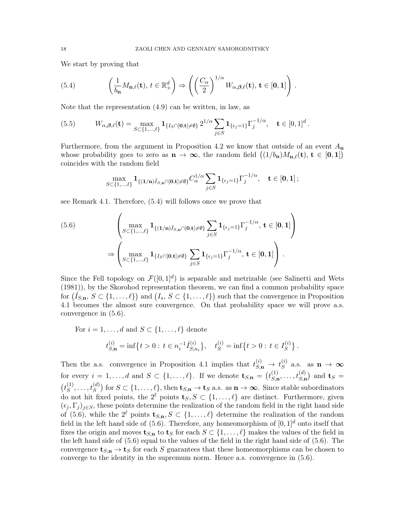We start by proving that

(5.4) 
$$
\left(\frac{1}{b_{n}}M_{n,\ell}(\mathbf{t}), t \in \mathbb{R}^{d}_{+}\right) \Rightarrow \left(\left(\frac{C_{\alpha}}{2}\right)^{1/\alpha}W_{\alpha,\beta,\ell}(\mathbf{t}), \mathbf{t} \in [0,1]\right).
$$

Note that the representation (4.9) can be written, in law, as

(5.5) 
$$
W_{\alpha,\beta,\ell}(\mathbf{t}) = \max_{S \subset \{1,\ldots,\ell\}} \mathbf{1}_{\{I_S \cap [\mathbf{0},\mathbf{t}] \neq \emptyset\}} 2^{1/\alpha} \sum_{j \in S} \mathbf{1}_{\{\epsilon_j=1\}} \Gamma_j^{-1/\alpha}, \quad \mathbf{t} \in [0,1]^d.
$$

Furthermore, from the argument in Proposition 4.2 we know that outside of an event  $A_n$ whose probability goes to zero as  $\mathbf{n} \to \infty$ , the random field  $((1/b_n)M_{n,\ell}(\mathbf{t}), \mathbf{t} \in [0,1])$ coincides with the random field

$$
\max_{S \subset \{1,\ldots,\ell\}} \mathbf{1}_{\{(1/n)\hat{I}_{S,n} \cap [0,\mathbf{t}] \neq \emptyset\}} C_{\alpha}^{1/\alpha} \sum_{j \in S} \mathbf{1}_{\{\epsilon_j=1\}} \Gamma_j^{-1/\alpha}, \quad \mathbf{t} \in [0,1];
$$

see Remark 4.1. Therefore, (5.4) will follows once we prove that

$$
(5.6) \qquad \begin{aligned} \begin{pmatrix} \max_{S \subset \{1, \dots, \ell\}} \mathbf{1}_{\{(1/n)\hat{I}_{S, \mathbf{n}} \cap [0, \mathbf{t}] \neq \emptyset\}} \sum_{j \in S} \mathbf{1}_{\{\epsilon_j = 1\}} \Gamma_j^{-1/\alpha}, \ \mathbf{t} \in [0, 1] \end{pmatrix} \\ \Rightarrow \begin{pmatrix} \max_{S \subset \{1, \dots, \ell\}} \mathbf{1}_{\{I_S \cap [0, \mathbf{t}] \neq \emptyset\}} \sum_{j \in S} \mathbf{1}_{\{\epsilon_j = 1\}} \Gamma_j^{-1/\alpha}, \ \mathbf{t} \in [0, 1] \end{pmatrix} .\end{aligned}
$$

Since the Fell topology on  $\mathcal{F}([0,1]^d)$  is separable and metrizable (see Salinetti and Wets (1981)), by the Skorohod representation theorem, we can find a common probability space for  $(\hat{I}_{S,n}, S \subset \{1,\ldots,\ell\})$  and  $(I_s, S \subset \{1,\ldots,\ell\})$  such that the convergence in Proposition 4.1 becomes the almost sure convergence. On that probability space we will prove a.s. convergence in (5.6).

For  $i = 1, \ldots, d$  and  $S \subset \{1, \ldots, \ell\}$  denote  $t_{S,{\bf n}}^{(i)} = \inf\bigl\{t>0: \, t \in n_i^{-1} \hat I_{S,n}^{(i)}$  $\{t_{S,n_i}^{(i)}\}, \quad t_S^{(i)} = \inf\{t > 0 : t \in I_S^{(i)}\}$  $S^{(i)}$ .

Then the a.s. convergence in Proposition 4.1 implies that  $t_{S,n}^{(i)} \rightarrow t_S^{(i)}$  $S^{(i)}$  a.s. as  $\mathbf{n} \to \infty$ for every  $i = 1, ..., d$  and  $S \subset \{1, ..., \ell\}$ . If we denote  $\mathbf{t}_{S,n} = (t_{S,n}^{(1)})$  $s_{\mathbf{S},\mathbf{n}}^{(1)},\ldots,t_{S,\mathbf{n}}^{(d)}$  and  $\mathbf{t}_{S}$  =  $(t_s^{(1)}$  $S^{(1)},\ldots,t_S^{(d)}) \text{ for } S \subset \{1,\ldots,\ell\}, \text{ then } \mathbf{t}_{S,\mathbf{n}} \to \mathbf{t}_S \text{ a.s. as } \mathbf{n} \to \boldsymbol{\infty}. \text{ Since stable subordinates } \mathbf{t}_S$ do not hit fixed points, the  $2^{\ell}$  points  $\mathbf{t}_S, S \subset \{1, \ldots, \ell\}$  are distinct. Furthermore, given  $(\epsilon_i, \Gamma_j)_{j \in S}$ , these points determine the realization of the random field in the right hand side of (5.6), while the  $2^{\ell}$  points  $\mathbf{t}_{S,n}, S \subset \{1, \ldots, \ell\}$  determine the realization of the random field in the left hand side of (5.6). Therefore, any homeomorphism of  $[0, 1]^d$  onto itself that fixes the origin and moves  $\mathbf{t}_{S,n}$  to  $\mathbf{t}_S$  for each  $S \subset \{1,\ldots,\ell\}$  makes the values of the field in the left hand side of (5.6) equal to the values of the field in the right hand side of (5.6). The convergence  $\mathbf{t}_{S,n} \to \mathbf{t}_S$  for each S guarantees that these homeomorphisms can be chosen to converge to the identity in the supremum norm. Hence a.s. convergence in (5.6).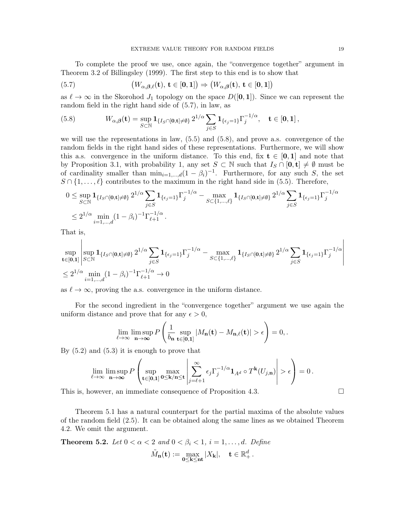To complete the proof we use, once again, the "convergence together" argument in Theorem 3.2 of Billingsley (1999). The first step to this end is to show that

(5.7) 
$$
(W_{\alpha,\beta,\ell}(\mathbf{t}), \mathbf{t} \in [\mathbf{0},\mathbf{1}]) \Rightarrow (W_{\alpha,\beta}(\mathbf{t}), \mathbf{t} \in [\mathbf{0},\mathbf{1}])
$$

as  $\ell \to \infty$  in the Skorohod  $J_1$  topology on the space  $D([0, 1])$ . Since we can represent the random field in the right hand side of (5.7), in law, as

(5.8) 
$$
W_{\alpha,\beta}(\mathbf{t}) = \sup_{S \subset \mathbb{N}} \mathbf{1}_{\{I_S \cap [\mathbf{0}, \mathbf{t}] \neq \emptyset\}} 2^{1/\alpha} \sum_{j \in S} \mathbf{1}_{\{\epsilon_j = 1\}} \Gamma_j^{-1/\alpha}, \quad \mathbf{t} \in [\mathbf{0}, \mathbf{1}],
$$

we will use the representations in law,  $(5.5)$  and  $(5.8)$ , and prove a.s. convergence of the random fields in the right hand sides of these representations. Furthermore, we will show this a.s. convergence in the uniform distance. To this end, fix  $t \in [0,1]$  and note that by Proposition 3.1, with probability 1, any set  $S \subset \mathbb{N}$  such that  $I_S \cap [0, t] \neq \emptyset$  must be of cardinality smaller than  $\min_{i=1,\dots,d}(1-\beta_i)^{-1}$ . Furthermore, for any such S, the set  $S \cap \{1, \ldots, \ell\}$  contributes to the maximum in the right hand side in (5.5). Therefore,

$$
0 \leq \sup_{S \subset \mathbb{N}} \mathbf{1}_{\{I_S \cap [\mathbf{0}, \mathbf{t}] \neq \emptyset\}} 2^{1/\alpha} \sum_{j \in S} \mathbf{1}_{\{\epsilon_j = 1\}} \Gamma_j^{-1/\alpha} - \max_{S \subset \{1, \dots, \ell\}} \mathbf{1}_{\{I_S \cap [\mathbf{0}, \mathbf{t}] \neq \emptyset\}} 2^{1/\alpha} \sum_{j \in S} \mathbf{1}_{\{\epsilon_j = 1\}} \Gamma_j^{-1/\alpha}
$$
  

$$
\leq 2^{1/\alpha} \min_{i=1, \dots, d} (1 - \beta_i)^{-1} \Gamma_{\ell+1}^{-1/\alpha}.
$$

That is,

$$
\sup_{\mathbf{t}\in[\mathbf{0},\mathbf{1}]} \left| \sup_{S\subset\mathbb{N}} \mathbf{1}_{\{I_S\cap[\mathbf{0},\mathbf{t}]\neq\emptyset\}} 2^{1/\alpha} \sum_{j\in S} \mathbf{1}_{\{\epsilon_j=1\}} \Gamma_j^{-1/\alpha} - \max_{S\subset\{1,\dots,\ell\}} \mathbf{1}_{\{I_S\cap[\mathbf{0},\mathbf{t}]\neq\emptyset\}} 2^{1/\alpha} \sum_{j\in S} \mathbf{1}_{\{\epsilon_j=1\}} \Gamma_j^{-1/\alpha} \right|
$$
  

$$
\leq 2^{1/\alpha} \min_{i=1,\dots,d} (1-\beta_i)^{-1} \Gamma_{\ell+1}^{-1/\alpha} \to 0
$$

as  $\ell \to \infty$ , proving the a.s. convergence in the uniform distance.

For the second ingredient in the "convergence together" argument we use again the uniform distance and prove that for any  $\epsilon > 0$ ,

$$
\lim_{\ell \to \infty} \limsup_{n \to \infty} P\left(\frac{1}{b_{n}} \sup_{\mathbf{t} \in [0,1]} |M_{n}(\mathbf{t}) - M_{n,\ell}(\mathbf{t})| > \epsilon\right) = 0,
$$

By  $(5.2)$  and  $(5.3)$  it is enough to prove that

$$
\lim_{\ell \to \infty} \limsup_{n \to \infty} P\left(\sup_{\mathbf{t} \in [0,1]} \max_{0 \leq \mathbf{k}/n \leq \mathbf{t}} \left| \sum_{j=\ell+1}^{\infty} \epsilon_j \Gamma_j^{-1/\alpha} \mathbf{1}_{A^d} \circ T^{\mathbf{k}}(U_{j,n}) \right| > \epsilon \right) = 0.
$$

This is, however, an immediate consequence of Proposition 4.3.  $\Box$ 

Theorem 5.1 has a natural counterpart for the partial maxima of the absolute values of the random field (2.5). It can be obtained along the same lines as we obtained Theorem 4.2. We omit the argument.

**Theorem 5.2.** Let  $0 < \alpha < 2$  and  $0 < \beta_i < 1$ ,  $i = 1, \ldots, d$ . Define

$$
\tilde{M}_{\mathbf{n}}(\mathbf{t}):=\max_{0\leq \mathbf{k}\leq \mathbf{n}\mathbf{t}}|X_{\mathbf{k}}|,\quad \mathbf{t}\in \mathbb{R}_+^d\,.
$$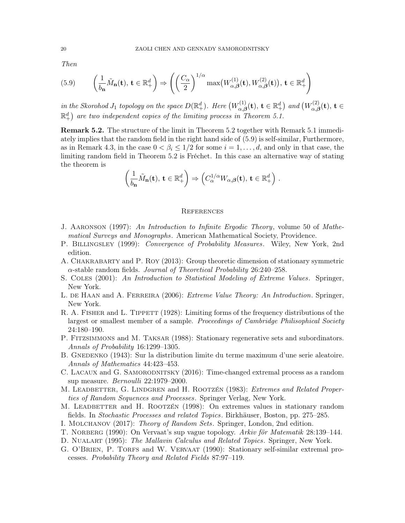Then

(5.9) 
$$
\left(\frac{1}{b_{\mathbf{n}}}\tilde{M}_{\mathbf{n}}(\mathbf{t}), \mathbf{t} \in \mathbb{R}^{d}_{+}\right) \Rightarrow \left(\left(\frac{C_{\alpha}}{2}\right)^{1/\alpha} \max(W_{\alpha,\beta}^{(1)}(\mathbf{t}), W_{\alpha,\beta}^{(2)}(\mathbf{t})), \mathbf{t} \in \mathbb{R}^{d}_{+}\right)
$$

in the Skorohod J<sub>1</sub> topology on the space  $D(\mathbb{R}^d_+)$ . Here  $(W^{(1)}_{\alpha,\beta})$  $\mathcal{F}_{\alpha,\boldsymbol{\beta}}^{(1)}(\mathbf{t}),\,\mathbf{t}\in\mathbb{R}_+^d\big)\,$  and  $\big(W_{\alpha,\boldsymbol{\beta}}^{(2)}\big)$  $\sigma^{(2)}_{\alpha,\boldsymbol{\beta}}(\mathbf{t}),\,\mathbf{t}\in\mathbb{R}$  $\mathbb{R}^d_+$ ) are two independent copies of the limiting process in Theorem 5.1.

Remark 5.2. The structure of the limit in Theorem 5.2 together with Remark 5.1 immediately implies that the random field in the right hand side of (5.9) is self-similar, Furthermore, as in Remark 4.3, in the case  $0 < \beta_i \leq 1/2$  for some  $i = 1, \dots, d$ , and only in that case, the limiting random field in Theorem 5.2 is Fréchet. In this case an alternative way of stating the theorem is

$$
\left(\frac{1}{b_{\mathbf{n}}}\tilde{M}_{\mathbf{n}}(\mathbf{t}), \mathbf{t} \in \mathbb{R}^d_+\right) \Rightarrow \left(C_{\alpha}^{1/\alpha}W_{\alpha,\beta}(\mathbf{t}), \mathbf{t} \in \mathbb{R}^d_+\right) .
$$

### **REFERENCES**

- J. Aaronson (1997): An Introduction to Infinite Ergodic Theory, volume 50 of Mathematical Surveys and Monographs. American Mathematical Society, Providence.
- P. BILLINGSLEY (1999): Convergence of Probability Measures. Wiley, New York, 2nd edition.
- A. Chakrabarty and P. Roy (2013): Group theoretic dimension of stationary symmetric  $\alpha$ -stable random fields. *Journal of Theoretical Probability* 26:240–258.
- S. COLES (2001): An Introduction to Statistical Modeling of Extreme Values. Springer, New York.
- L. DE HAAN and A. FERREIRA (2006): *Extreme Value Theory: An Introduction*. Springer, New York.
- R. A. FISHER and L. TIPPETT (1928): Limiting forms of the frequency distributions of the largest or smallest member of a sample. Proceedings of Cambridge Philisophical Society 24:180–190.
- P. FITZSIMMONS and M. TAKSAR (1988): Stationary regenerative sets and subordinators. Annals of Probability 16:1299–1305.
- B. GNEDENKO (1943): Sur la distribution limite du terme maximum d'une serie aleatoire. Annals of Mathematics 44:423–453.
- C. LACAUX and G. SAMORODNITSKY (2016): Time-changed extremal process as a random sup measure. Bernoulli 22:1979–2000.
- M. LEADBETTER, G. LINDGREN and H. ROOTZÉN (1983): Extremes and Related Properties of Random Sequences and Processes. Springer Verlag, New York.
- M. LEADBETTER and H. ROOTZÉN (1998): On extremes values in stationary random fields. In Stochastic Processes and related Topics. Birkhäuser, Boston, pp. 275–285.
- I. Molchanov (2017): Theory of Random Sets. Springer, London, 2nd edition.
- T. NORBERG (1990): On Vervaat's sup vague topology. Arkiv för Matematik 28:139–144.
- D. NUALART (1995): The Mallavin Calculus and Related Topics. Springer, New York.
- G. O'BRIEN, P. TORFS and W. VERVAAT (1990): Stationary self-similar extremal processes. Probability Theory and Related Fields 87:97–119.